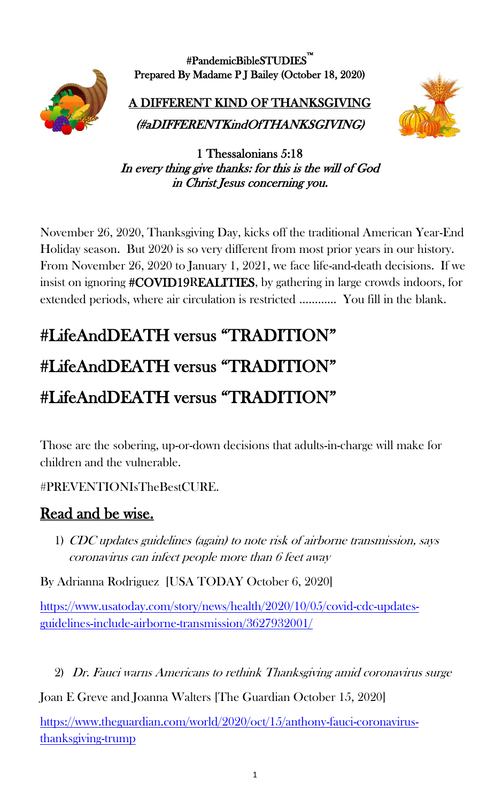

#PandemicBibleSTUDIES™ Prepared By Madame P J Bailey (October 18, 2020)

A DIFFERENT KIND OF THANKSGIVING (#aDIFFERENTKindOfTHANKSGIVING)



1 Thessalonians 5:18 In every thing give thanks: for this is the will of God in Christ Jesus concerning you.

November 26, 2020, Thanksgiving Day, kicks off the traditional American Year-End Holiday season. But 2020 is so very different from most prior years in our history. From November 26, 2020 to January 1, 2021, we face life-and-death decisions. If we insist on ignoring #COVID19REALITIES, by gathering in large crowds indoors, for extended periods, where air circulation is restricted ………… You fill in the blank.

## #LifeAndDEATH versus "TRADITION" #LifeAndDEATH versus "TRADITION" #LifeAndDEATH versus "TRADITION"

Those are the sobering, up-or-down decisions that adults-in-charge will make for children and the vulnerable.

#PREVENTIONIsTheBestCURE.

## Read and be wise.

1) CDC updates guidelines (again) to note risk of airborne transmission, says coronavirus can infect people more than 6 feet away

By Adrianna Rodriguez [USA TODAY October 6, 2020]

[https://www.usatoday.com/story/news/health/2020/10/05/covid-cdc-updates](https://www.usatoday.com/story/news/health/2020/10/05/covid-cdc-updates-guidelines-include-airborne-transmission/3627932001/)[guidelines-include-airborne-transmission/3627932001/](https://www.usatoday.com/story/news/health/2020/10/05/covid-cdc-updates-guidelines-include-airborne-transmission/3627932001/)

2) Dr. Fauci warns Americans to rethink Thanksgiving amid coronavirus surge

Joan E Greve and Joanna Walters [The Guardian October 15, 2020]

[https://www.theguardian.com/world/2020/oct/15/anthony-fauci-coronavirus](https://www.theguardian.com/world/2020/oct/15/anthony-fauci-coronavirus-thanksgiving-trump)[thanksgiving-trump](https://www.theguardian.com/world/2020/oct/15/anthony-fauci-coronavirus-thanksgiving-trump)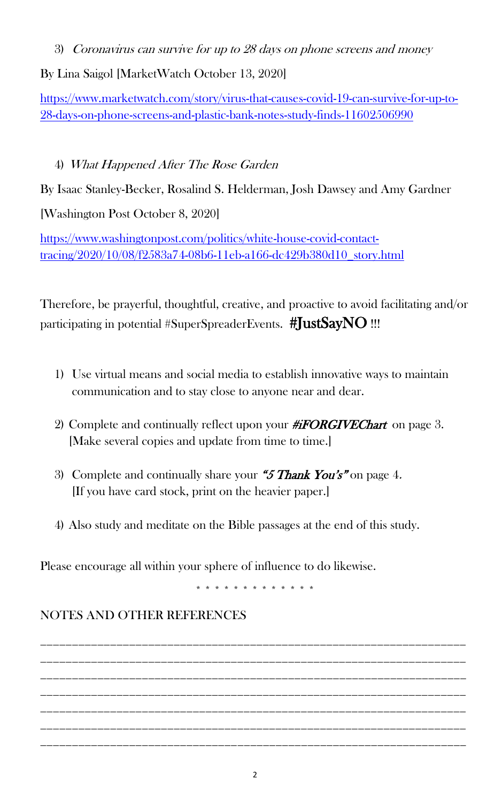3) Coronavirus can survive for up to 28 days on phone screens and money

By Lina Saigol [MarketWatch October 13, 2020]

[https://www.marketwatch.com/story/virus-that-causes-covid-19-can-survive-for-up-to-](https://www.marketwatch.com/story/virus-that-causes-covid-19-can-survive-for-up-to-28-days-on-phone-screens-and-plastic-bank-notes-study-finds-11602506990)[28-days-on-phone-screens-and-plastic-bank-notes-study-finds-11602506990](https://www.marketwatch.com/story/virus-that-causes-covid-19-can-survive-for-up-to-28-days-on-phone-screens-and-plastic-bank-notes-study-finds-11602506990)

## 4) What Happened After The Rose Garden

By Isaac Stanley-Becker, Rosalind S. Helderman, Josh Dawsey and Amy Gardner

[Washington Post October 8, 2020]

[https://www.washingtonpost.com/politics/white-house-covid-contact](https://www.washingtonpost.com/politics/white-house-covid-contact-tracing/2020/10/08/f2583a74-08b6-11eb-a166-dc429b380d10_story.html)[tracing/2020/10/08/f2583a74-08b6-11eb-a166-dc429b380d10\\_story.html](https://www.washingtonpost.com/politics/white-house-covid-contact-tracing/2020/10/08/f2583a74-08b6-11eb-a166-dc429b380d10_story.html)

Therefore, be prayerful, thoughtful, creative, and proactive to avoid facilitating and/or participating in potential #SuperSpreaderEvents. #JustSayNO !!!

- 1) Use virtual means and social media to establish innovative ways to maintain communication and to stay close to anyone near and dear.
- 2) Complete and continually reflect upon your  $\#iFORGIVEChar$  on page 3. [Make several copies and update from time to time.]
- 3) Complete and continually share your "5 Thank You's" on page 4. [If you have card stock, print on the heavier paper.]
- 4) Also study and meditate on the Bible passages at the end of this study.

Please encourage all within your sphere of influence to do likewise.

\* \* \* \* \* \* \* \* \* \* \* \* \*

## NOTES AND OTHER REFERENCES

\_\_\_\_\_\_\_\_\_\_\_\_\_\_\_\_\_\_\_\_\_\_\_\_\_\_\_\_\_\_\_\_\_\_\_\_\_\_\_\_\_\_\_\_\_\_\_\_\_\_\_\_\_\_\_\_\_\_\_\_\_\_\_\_\_\_\_ \_\_\_\_\_\_\_\_\_\_\_\_\_\_\_\_\_\_\_\_\_\_\_\_\_\_\_\_\_\_\_\_\_\_\_\_\_\_\_\_\_\_\_\_\_\_\_\_\_\_\_\_\_\_\_\_\_\_\_\_\_\_\_\_\_\_\_ \_\_\_\_\_\_\_\_\_\_\_\_\_\_\_\_\_\_\_\_\_\_\_\_\_\_\_\_\_\_\_\_\_\_\_\_\_\_\_\_\_\_\_\_\_\_\_\_\_\_\_\_\_\_\_\_\_\_\_\_\_\_\_\_\_\_\_ \_\_\_\_\_\_\_\_\_\_\_\_\_\_\_\_\_\_\_\_\_\_\_\_\_\_\_\_\_\_\_\_\_\_\_\_\_\_\_\_\_\_\_\_\_\_\_\_\_\_\_\_\_\_\_\_\_\_\_\_\_\_\_\_\_\_\_ \_\_\_\_\_\_\_\_\_\_\_\_\_\_\_\_\_\_\_\_\_\_\_\_\_\_\_\_\_\_\_\_\_\_\_\_\_\_\_\_\_\_\_\_\_\_\_\_\_\_\_\_\_\_\_\_\_\_\_\_\_\_\_\_\_\_\_ \_\_\_\_\_\_\_\_\_\_\_\_\_\_\_\_\_\_\_\_\_\_\_\_\_\_\_\_\_\_\_\_\_\_\_\_\_\_\_\_\_\_\_\_\_\_\_\_\_\_\_\_\_\_\_\_\_\_\_\_\_\_\_\_\_\_\_ \_\_\_\_\_\_\_\_\_\_\_\_\_\_\_\_\_\_\_\_\_\_\_\_\_\_\_\_\_\_\_\_\_\_\_\_\_\_\_\_\_\_\_\_\_\_\_\_\_\_\_\_\_\_\_\_\_\_\_\_\_\_\_\_\_\_\_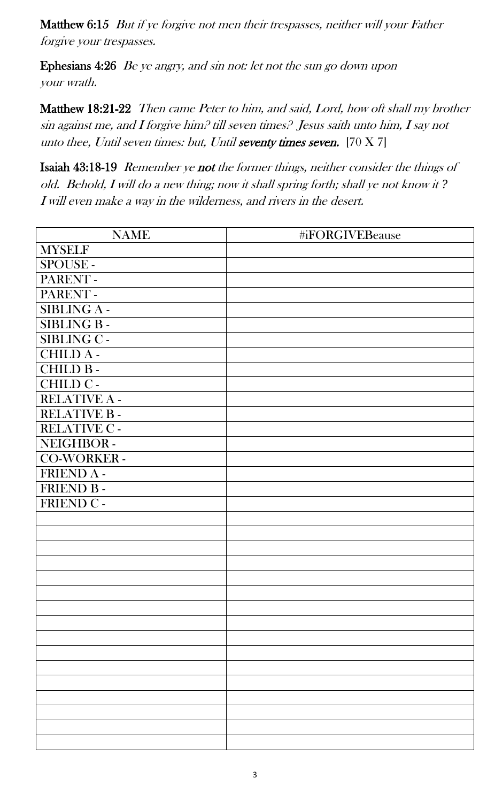Matthew 6:15 But if ye forgive not men their trespasses, neither will your Father forgive your trespasses.

Ephesians 4:26 Be ye angry, and sin not: let not the sun go down upon your wrath.

Matthew 18:21-22 Then came Peter to him, and said, Lord, how oft shall my brother sin against me, and I forgive him? till seven times? Jesus saith unto him, I say not unto thee, Until seven times: but, Until seventy times seven.  $[70 X 7]$ 

Isaiah 43:18-19 Remember ye not the former things, neither consider the things of old. Behold, I will do a new thing; now it shall spring forth; shall ye not know it *?*  I will even make a way in the wilderness, and rivers in the desert.

| <b>NAME</b>       | #iFORGIVEBeause |
|-------------------|-----------------|
| <b>MYSELF</b>     |                 |
| SPOUSE-           |                 |
| PARENT-           |                 |
| PARENT-           |                 |
| SIBLING A-        |                 |
| <b>SIBLING B-</b> |                 |
| SIBLING C -       |                 |
| <b>CHILD A-</b>   |                 |
| <b>CHILD B-</b>   |                 |
| CHILD C-          |                 |
| RELATIVE A -      |                 |
| RELATIVE B-       |                 |
| RELATIVE C -      |                 |
| NEIGHBOR-         |                 |
| CO-WORKER -       |                 |
| FRIEND A -        |                 |
| FRIEND B-         |                 |
| FRIEND C -        |                 |
|                   |                 |
|                   |                 |
|                   |                 |
|                   |                 |
|                   |                 |
|                   |                 |
|                   |                 |
|                   |                 |
|                   |                 |
|                   |                 |
|                   |                 |
|                   |                 |
|                   |                 |
|                   |                 |
|                   |                 |
|                   |                 |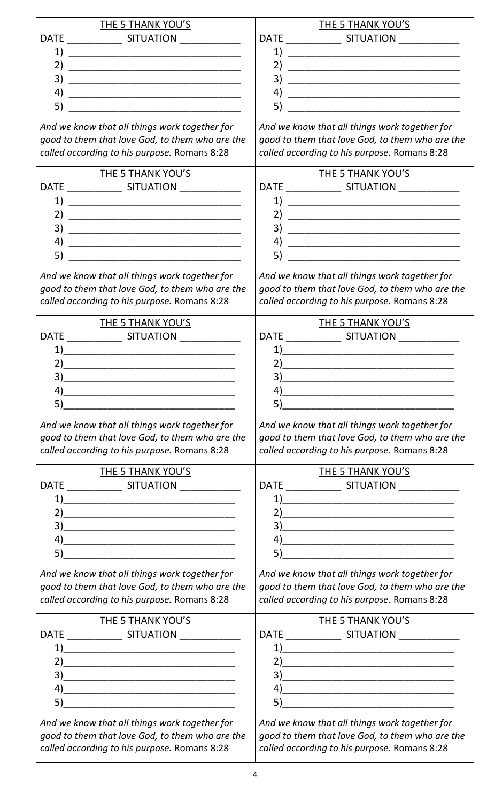| THE 5 THANK YOU'S                                                                                                                                                                                                                                                                                                                                                   | THE 5 THANK YOU'S                                               |
|---------------------------------------------------------------------------------------------------------------------------------------------------------------------------------------------------------------------------------------------------------------------------------------------------------------------------------------------------------------------|-----------------------------------------------------------------|
|                                                                                                                                                                                                                                                                                                                                                                     |                                                                 |
| 1)                                                                                                                                                                                                                                                                                                                                                                  |                                                                 |
| 2)<br><u> 1980 - Jan James James Barnett, fransk politik (d. 1980)</u>                                                                                                                                                                                                                                                                                              | 2)                                                              |
| 3)                                                                                                                                                                                                                                                                                                                                                                  | 3)                                                              |
| 4)                                                                                                                                                                                                                                                                                                                                                                  |                                                                 |
| 5)                                                                                                                                                                                                                                                                                                                                                                  | 5)                                                              |
| And we know that all things work together for                                                                                                                                                                                                                                                                                                                       | And we know that all things work together for                   |
| good to them that love God, to them who are the                                                                                                                                                                                                                                                                                                                     | good to them that love God, to them who are the                 |
| called according to his purpose. Romans 8:28                                                                                                                                                                                                                                                                                                                        | called according to his purpose. Romans 8:28                    |
|                                                                                                                                                                                                                                                                                                                                                                     |                                                                 |
| THE 5 THANK YOU'S                                                                                                                                                                                                                                                                                                                                                   | <b>THE 5 THANK YOU'S</b>                                        |
| ____________________ SITUATION _______________<br><b>DATE</b>                                                                                                                                                                                                                                                                                                       |                                                                 |
| 1)                                                                                                                                                                                                                                                                                                                                                                  | 1)                                                              |
| 2)                                                                                                                                                                                                                                                                                                                                                                  | 2)                                                              |
| 3)                                                                                                                                                                                                                                                                                                                                                                  | 3)                                                              |
| 4)                                                                                                                                                                                                                                                                                                                                                                  |                                                                 |
| 5)<br><u> 1989 - Johann Barn, mars eta bainar eta bat erroman erroman erroman erroman erroman erroman erroman erroman </u>                                                                                                                                                                                                                                          | 5)<br><u> 1980 - Johann John Stein, mars eta biztanleria (</u>  |
|                                                                                                                                                                                                                                                                                                                                                                     |                                                                 |
| And we know that all things work together for                                                                                                                                                                                                                                                                                                                       | And we know that all things work together for                   |
| good to them that love God, to them who are the                                                                                                                                                                                                                                                                                                                     | good to them that love God, to them who are the                 |
| called according to his purpose. Romans 8:28                                                                                                                                                                                                                                                                                                                        | called according to his purpose. Romans 8:28                    |
| THE 5 THANK YOU'S                                                                                                                                                                                                                                                                                                                                                   | THE 5 THANK YOU'S                                               |
|                                                                                                                                                                                                                                                                                                                                                                     |                                                                 |
| 1)                                                                                                                                                                                                                                                                                                                                                                  | 1)                                                              |
| 2)                                                                                                                                                                                                                                                                                                                                                                  | 21                                                              |
| 3)                                                                                                                                                                                                                                                                                                                                                                  | 3)                                                              |
| 4)                                                                                                                                                                                                                                                                                                                                                                  |                                                                 |
|                                                                                                                                                                                                                                                                                                                                                                     | $\left( \begin{array}{ccc} 4 \end{array} \right)$               |
|                                                                                                                                                                                                                                                                                                                                                                     |                                                                 |
| And we know that all things work together for                                                                                                                                                                                                                                                                                                                       | And we know that all things work together for                   |
| good to them that love God, to them who are the                                                                                                                                                                                                                                                                                                                     | good to them that love God, to them who are the                 |
| called according to his purpose. Romans 8:28                                                                                                                                                                                                                                                                                                                        | called according to his purpose. Romans 8:28                    |
| THE 5 THANK YOU'S                                                                                                                                                                                                                                                                                                                                                   | <b>THE 5 THANK YOU'S</b>                                        |
|                                                                                                                                                                                                                                                                                                                                                                     |                                                                 |
|                                                                                                                                                                                                                                                                                                                                                                     |                                                                 |
|                                                                                                                                                                                                                                                                                                                                                                     | $\left( \begin{array}{ccc} 1 \end{array} \right)$               |
| 2)                                                                                                                                                                                                                                                                                                                                                                  |                                                                 |
| 3)                                                                                                                                                                                                                                                                                                                                                                  |                                                                 |
| $\left( \begin{array}{c} 4 \end{array} \right)$                                                                                                                                                                                                                                                                                                                     |                                                                 |
| 5)                                                                                                                                                                                                                                                                                                                                                                  |                                                                 |
| And we know that all things work together for                                                                                                                                                                                                                                                                                                                       | And we know that all things work together for                   |
| good to them that love God, to them who are the                                                                                                                                                                                                                                                                                                                     | good to them that love God, to them who are the                 |
| called according to his purpose. Romans 8:28                                                                                                                                                                                                                                                                                                                        | called according to his purpose. Romans 8:28                    |
|                                                                                                                                                                                                                                                                                                                                                                     |                                                                 |
| THE 5 THANK YOU'S                                                                                                                                                                                                                                                                                                                                                   | <b>THE 5 THANK YOU'S</b>                                        |
|                                                                                                                                                                                                                                                                                                                                                                     |                                                                 |
| $\begin{picture}(20,10) \put(0,0){\vector(1,0){100}} \put(15,0){\vector(1,0){100}} \put(15,0){\vector(1,0){100}} \put(15,0){\vector(1,0){100}} \put(15,0){\vector(1,0){100}} \put(15,0){\vector(1,0){100}} \put(15,0){\vector(1,0){100}} \put(15,0){\vector(1,0){100}} \put(15,0){\vector(1,0){100}} \put(15,0){\vector(1,0){100}} \put(15,0){\vector(1,0){100}} \$ |                                                                 |
|                                                                                                                                                                                                                                                                                                                                                                     |                                                                 |
| 3)                                                                                                                                                                                                                                                                                                                                                                  |                                                                 |
| 4)                                                                                                                                                                                                                                                                                                                                                                  |                                                                 |
| 5)                                                                                                                                                                                                                                                                                                                                                                  | 5)<br><u> 1980 - Jan James James Barnett, fizik amerikan ba</u> |
| And we know that all things work together for                                                                                                                                                                                                                                                                                                                       | And we know that all things work together for                   |
| good to them that love God, to them who are the                                                                                                                                                                                                                                                                                                                     | good to them that love God, to them who are the                 |
| called according to his purpose. Romans 8:28                                                                                                                                                                                                                                                                                                                        | called according to his purpose. Romans 8:28                    |
|                                                                                                                                                                                                                                                                                                                                                                     |                                                                 |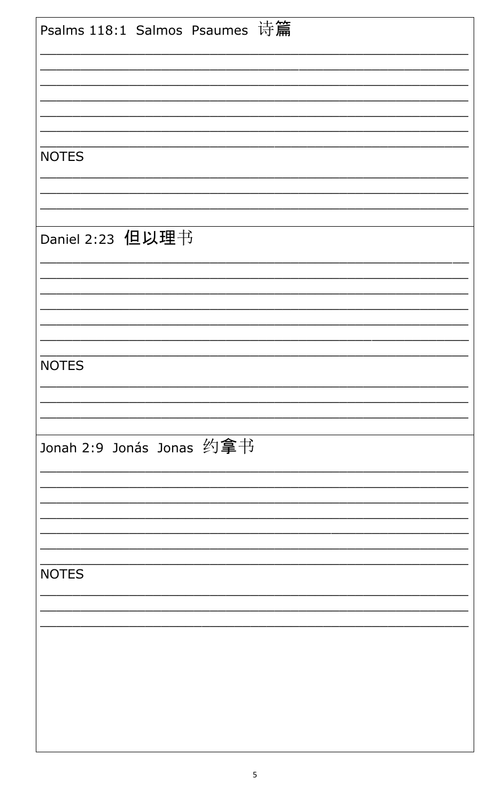| Psalms 118:1 Salmos Psaumes 诗篇 |
|--------------------------------|
|                                |
|                                |
| <b>NOTES</b>                   |
|                                |
| Daniel 2:23 但以理书               |
|                                |
|                                |
|                                |
| <b>NOTES</b>                   |
|                                |
| Jonah 2:9 Jonás Jonas 约拿书      |
|                                |
|                                |
| <b>NOTES</b>                   |
|                                |
|                                |
|                                |
|                                |
|                                |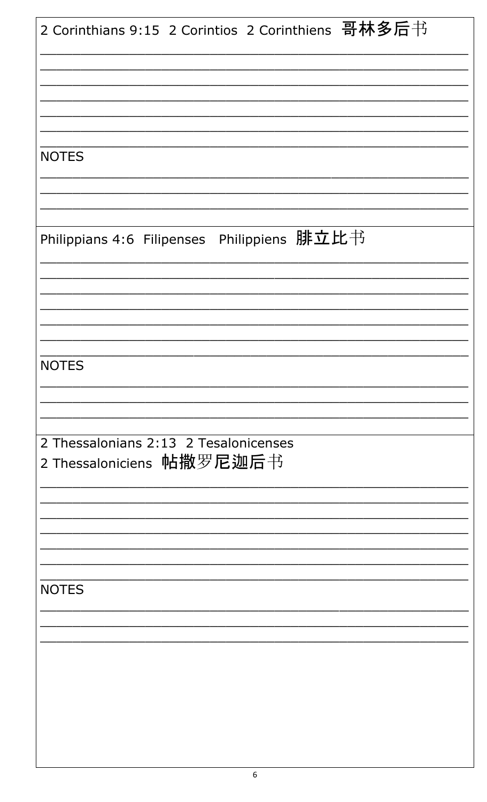| 2 Corinthians 9:15 2 Corintios 2 Corinthiens 哥林多后书 |
|----------------------------------------------------|
|                                                    |
|                                                    |
|                                                    |
|                                                    |
|                                                    |
| <b>NOTES</b>                                       |
|                                                    |
|                                                    |
|                                                    |
| Philippians 4:6 Filipenses Philippiens 腓立比书        |
|                                                    |
|                                                    |
|                                                    |
|                                                    |
|                                                    |
| <b>NOTES</b>                                       |
|                                                    |
|                                                    |
| 2 Thessalonians 2:13 2 Tesalonicenses              |
| 2 Thessaloniciens 帖撒罗尼迦后书                          |
|                                                    |
|                                                    |
|                                                    |
|                                                    |
|                                                    |
| <b>NOTES</b>                                       |
|                                                    |
|                                                    |
|                                                    |
|                                                    |
|                                                    |
|                                                    |
|                                                    |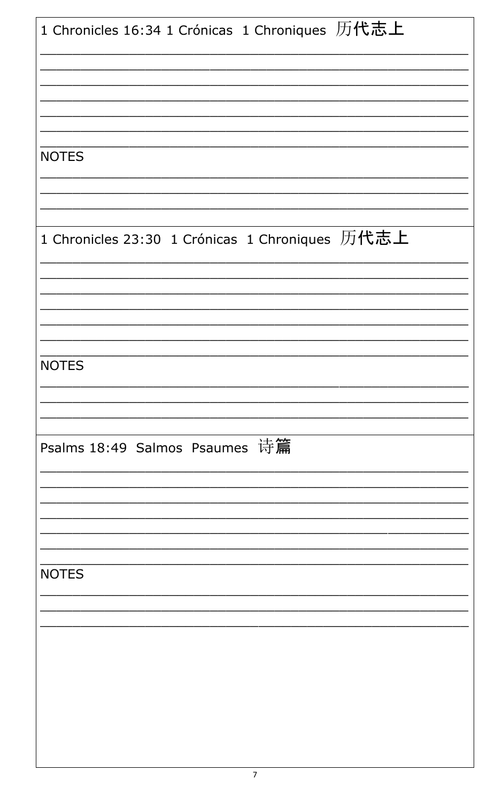| 1 Chronicles 16:34 1 Crónicas 1 Chroniques 历代志上 |
|-------------------------------------------------|
|                                                 |
|                                                 |
|                                                 |
| <b>NOTES</b>                                    |
|                                                 |
| 1 Chronicles 23:30 1 Crónicas 1 Chroniques 历代志上 |
|                                                 |
|                                                 |
| <b>NOTES</b>                                    |
|                                                 |
|                                                 |
| Psalms 18:49 Salmos Psaumes 诗篇                  |
|                                                 |
|                                                 |
| <b>NOTES</b>                                    |
|                                                 |
|                                                 |
|                                                 |
|                                                 |
|                                                 |
|                                                 |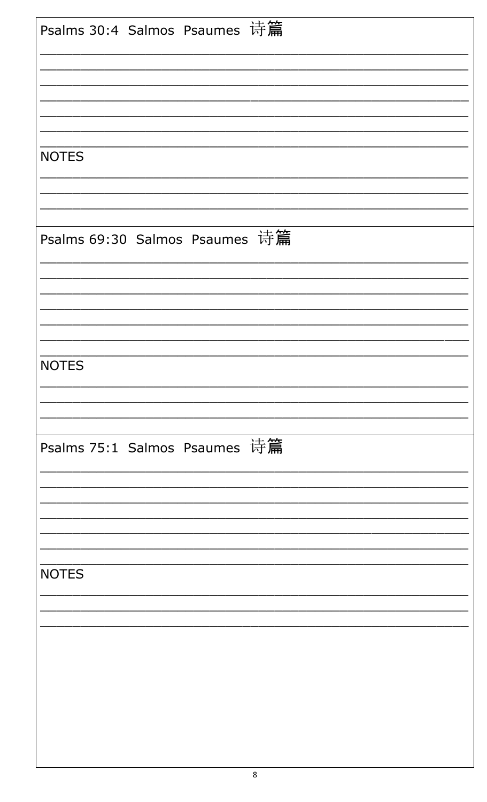| <b>NOTES</b>                   |
|--------------------------------|
|                                |
|                                |
| Psalms 69:30 Salmos Psaumes 诗篇 |
|                                |
|                                |
| <b>NOTES</b>                   |
|                                |
|                                |
| Psalms 75:1 Salmos Psaumes 诗篇  |
|                                |
|                                |
| <b>NOTES</b>                   |
|                                |
|                                |
|                                |
|                                |
|                                |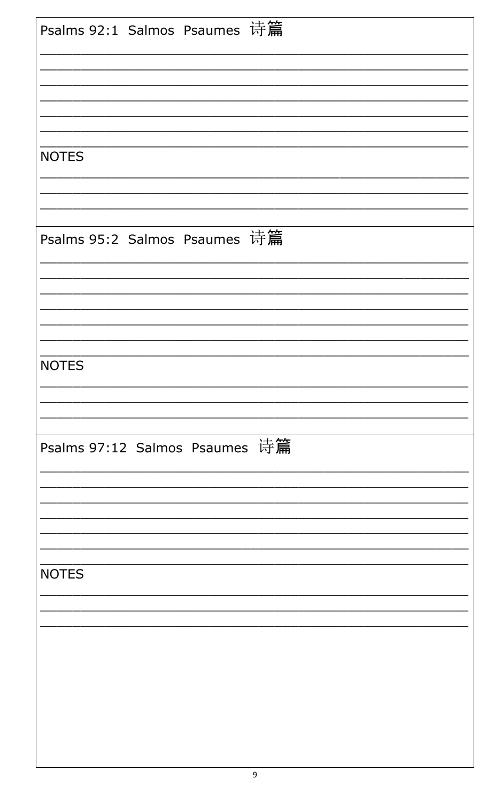| Psalms 92:1 Salmos Psaumes 诗篇  |
|--------------------------------|
|                                |
|                                |
| <b>NOTES</b>                   |
|                                |
| Psalms 95:2 Salmos Psaumes 诗篇  |
|                                |
|                                |
| <b>NOTES</b>                   |
|                                |
| Psalms 97:12 Salmos Psaumes 诗篇 |
|                                |
|                                |
| <b>NOTES</b>                   |
|                                |
|                                |
|                                |
|                                |
|                                |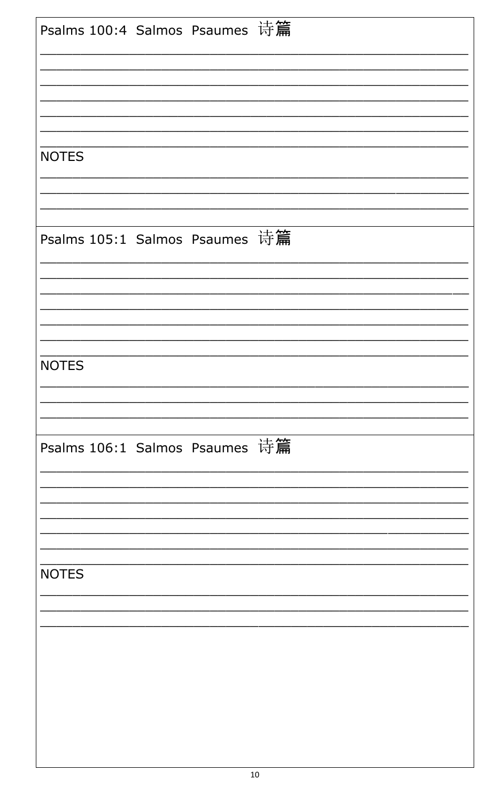|              |  | Psalms 100:4 Salmos Psaumes 诗篇 |  |
|--------------|--|--------------------------------|--|
| <b>NOTES</b> |  |                                |  |
|              |  | Psalms 105:1 Salmos Psaumes 诗篇 |  |
| <b>NOTES</b> |  |                                |  |
|              |  | Psalms 106:1 Salmos Psaumes 诗篇 |  |
| <b>NOTES</b> |  |                                |  |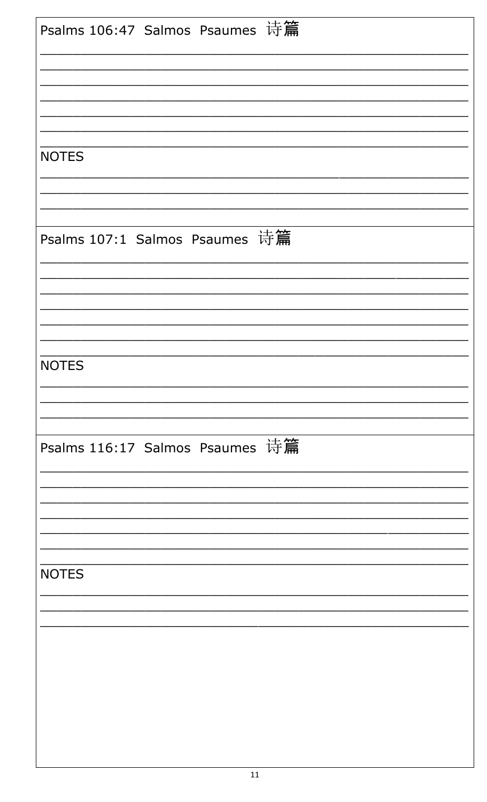| Psalms 106:47 Salmos Psaumes 诗篇<br><b>NOTES</b><br>Psalms 107:1 Salmos Psaumes 诗篇<br><b>NOTES</b> |
|---------------------------------------------------------------------------------------------------|
|                                                                                                   |
|                                                                                                   |
|                                                                                                   |
|                                                                                                   |
|                                                                                                   |
|                                                                                                   |
|                                                                                                   |
|                                                                                                   |
|                                                                                                   |
|                                                                                                   |
|                                                                                                   |
|                                                                                                   |
|                                                                                                   |
|                                                                                                   |
|                                                                                                   |
|                                                                                                   |
|                                                                                                   |
|                                                                                                   |
| Psalms 116:17 Salmos Psaumes 诗篇                                                                   |
|                                                                                                   |
|                                                                                                   |
|                                                                                                   |
|                                                                                                   |
| <b>NOTES</b>                                                                                      |
|                                                                                                   |
|                                                                                                   |
|                                                                                                   |
|                                                                                                   |
|                                                                                                   |
|                                                                                                   |
|                                                                                                   |
|                                                                                                   |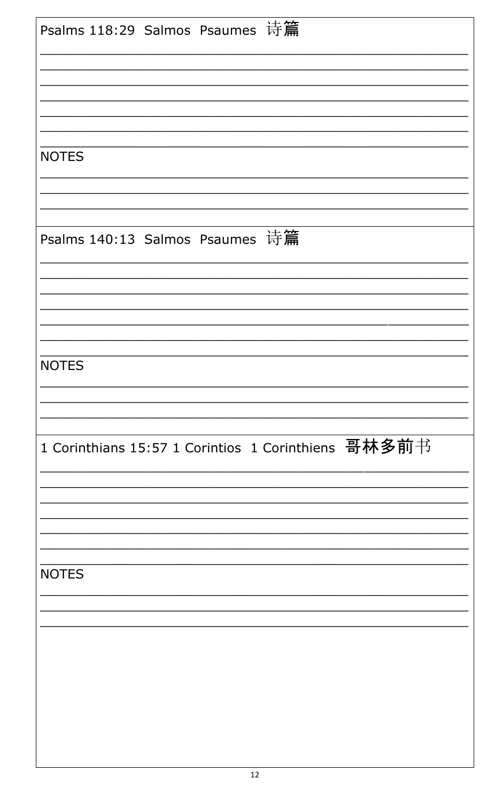| Psalms 118:29 Salmos Psaumes 诗篇 |  |                                                     |  |
|---------------------------------|--|-----------------------------------------------------|--|
| <b>NOTES</b>                    |  |                                                     |  |
|                                 |  |                                                     |  |
| Psalms 140:13 Salmos Psaumes 诗篇 |  |                                                     |  |
|                                 |  |                                                     |  |
| <b>NOTES</b>                    |  |                                                     |  |
|                                 |  | 1 Corinthians 15:57 1 Corintios 1 Corinthiens 哥林多前书 |  |
|                                 |  |                                                     |  |
| <b>NOTES</b>                    |  |                                                     |  |
|                                 |  |                                                     |  |
|                                 |  |                                                     |  |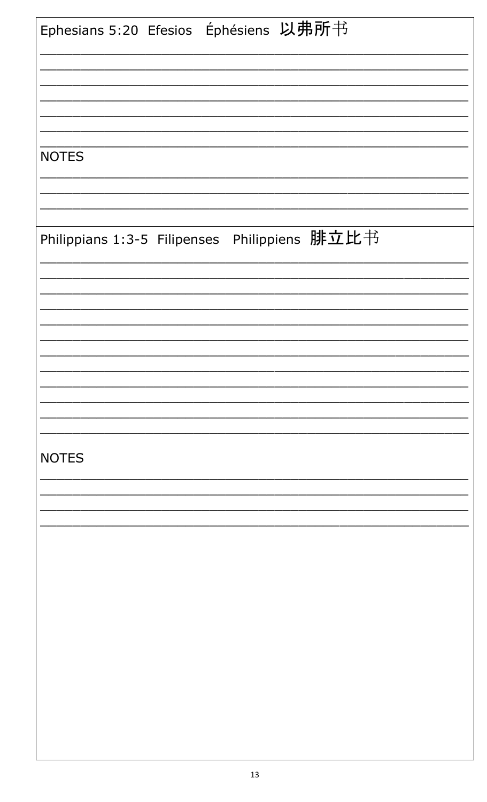| Ephesians 5:20 Efesios Éphésiens 以弗所书         |
|-----------------------------------------------|
|                                               |
|                                               |
| <b>NOTES</b>                                  |
|                                               |
|                                               |
| Philippians 1:3-5 Filipenses Philippiens 腓立比书 |
|                                               |
|                                               |
|                                               |
|                                               |
|                                               |
| <b>NOTES</b>                                  |
|                                               |
|                                               |
|                                               |
|                                               |
|                                               |
|                                               |
|                                               |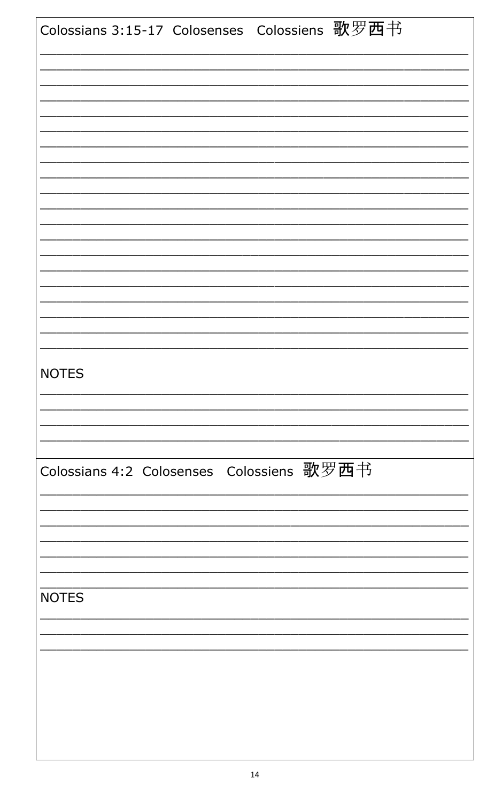| Colossians 3:15-17 Colosenses Colossiens 歌罗西书 |  |  |
|-----------------------------------------------|--|--|
|                                               |  |  |
|                                               |  |  |
|                                               |  |  |
|                                               |  |  |
|                                               |  |  |
|                                               |  |  |
|                                               |  |  |
|                                               |  |  |
| <b>NOTES</b>                                  |  |  |
|                                               |  |  |
|                                               |  |  |
| Colossians 4:2 Colosenses Colossiens 歌罗西书     |  |  |
|                                               |  |  |
|                                               |  |  |
| <b>NOTES</b>                                  |  |  |
|                                               |  |  |
|                                               |  |  |
|                                               |  |  |
|                                               |  |  |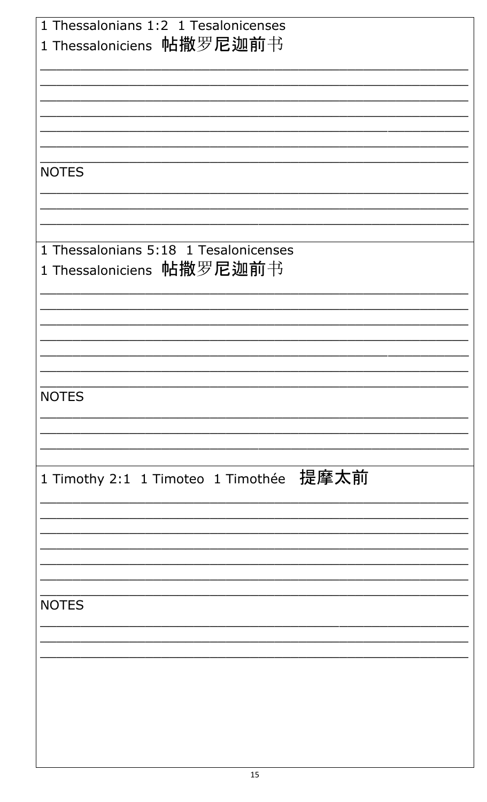| 1 Thessalonians 1:2 1 Tesalonicenses<br>1 Thessaloniciens 帖撒罗尼迦前书  |
|--------------------------------------------------------------------|
|                                                                    |
|                                                                    |
| <b>NOTES</b>                                                       |
|                                                                    |
| 1 Thessalonians 5:18 1 Tesalonicenses<br>1 Thessaloniciens 帖撒罗尼迦前书 |
|                                                                    |
|                                                                    |
| <b>NOTES</b>                                                       |
|                                                                    |
| 1 Timothy 2:1 1 Timoteo 1 Timothée 提摩太前                            |
|                                                                    |
|                                                                    |
| <b>NOTES</b>                                                       |
|                                                                    |
|                                                                    |
|                                                                    |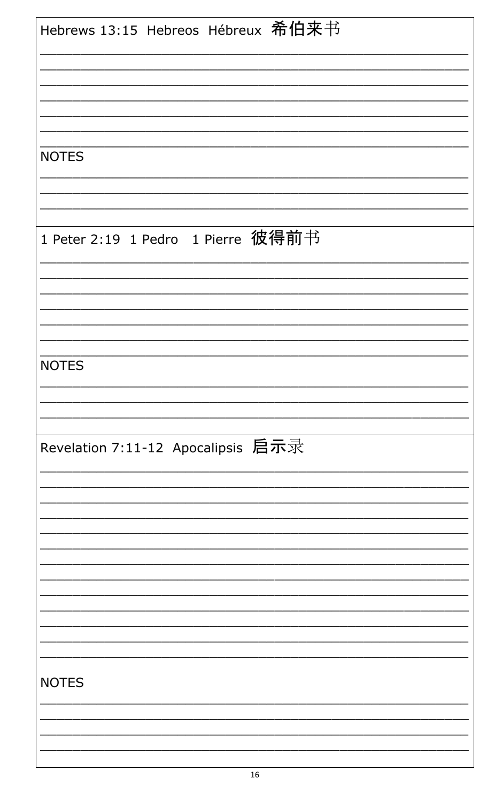| Hebrews 13:15 Hebreos Hébreux 希伯来书 |
|------------------------------------|
|                                    |
|                                    |
|                                    |
|                                    |
|                                    |
|                                    |
| <b>NOTES</b>                       |
|                                    |
|                                    |
|                                    |
|                                    |
| 1 Peter 2:19 1 Pedro 1 Pierre 彼得前书 |
|                                    |
|                                    |
|                                    |
|                                    |
|                                    |
|                                    |
| <b>NOTES</b>                       |
|                                    |
|                                    |
|                                    |
|                                    |
| Revelation 7:11-12 Apocalipsis 启示录 |
|                                    |
|                                    |
|                                    |
|                                    |
|                                    |
|                                    |
|                                    |
|                                    |
|                                    |
|                                    |
|                                    |
|                                    |
| <b>NOTES</b>                       |
|                                    |
|                                    |
|                                    |
|                                    |